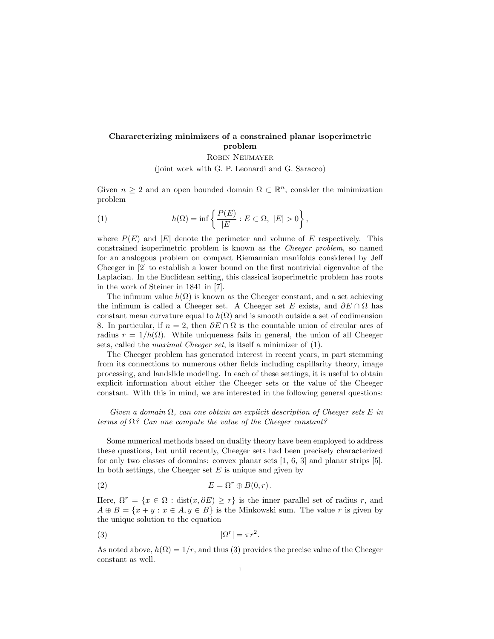## Chararcterizing minimizers of a constrained planar isoperimetric problem

Robin Neumayer

(joint work with G. P. Leonardi and G. Saracco)

Given  $n \geq 2$  and an open bounded domain  $\Omega \subset \mathbb{R}^n$ , consider the minimization problem

(1) 
$$
h(\Omega) = \inf \left\{ \frac{P(E)}{|E|} : E \subset \Omega, |E| > 0 \right\},\,
$$

where  $P(E)$  and  $|E|$  denote the perimeter and volume of E respectively. This constrained isoperimetric problem is known as the Cheeger problem, so named for an analogous problem on compact Riemannian manifolds considered by Jeff Cheeger in [2] to establish a lower bound on the first nontrivial eigenvalue of the Laplacian. In the Euclidean setting, this classical isoperimetric problem has roots in the work of Steiner in 1841 in [7].

The infimum value  $h(\Omega)$  is known as the Cheeger constant, and a set achieving the infimum is called a Cheeger set. A Cheeger set E exists, and  $\partial E \cap \Omega$  has constant mean curvature equal to  $h(\Omega)$  and is smooth outside a set of codimension 8. In particular, if  $n = 2$ , then  $\partial E \cap \Omega$  is the countable union of circular arcs of radius  $r = 1/h(\Omega)$ . While uniqueness fails in general, the union of all Cheeger sets, called the maximal Cheeger set, is itself a minimizer of (1).

The Cheeger problem has generated interest in recent years, in part stemming from its connections to numerous other fields including capillarity theory, image processing, and landslide modeling. In each of these settings, it is useful to obtain explicit information about either the Cheeger sets or the value of the Cheeger constant. With this in mind, we are interested in the following general questions:

Given a domain  $\Omega$ , can one obtain an explicit description of Cheeger sets E in terms of  $\Omega$ ? Can one compute the value of the Cheeger constant?

Some numerical methods based on duality theory have been employed to address these questions, but until recently, Cheeger sets had been precisely characterized for only two classes of domains: convex planar sets [1, 6, 3] and planar strips [5]. In both settings, the Cheeger set  $E$  is unique and given by

(2) 
$$
E = \Omega^r \oplus B(0, r).
$$

Here,  $\Omega^r = \{x \in \Omega : dist(x, \partial E) \ge r\}$  is the inner parallel set of radius r, and  $A \oplus B = \{x + y : x \in A, y \in B\}$  is the Minkowski sum. The value r is given by the unique solution to the equation

$$
|\Omega^r| = \pi r^2.
$$

As noted above,  $h(\Omega) = 1/r$ , and thus (3) provides the precise value of the Cheeger constant as well.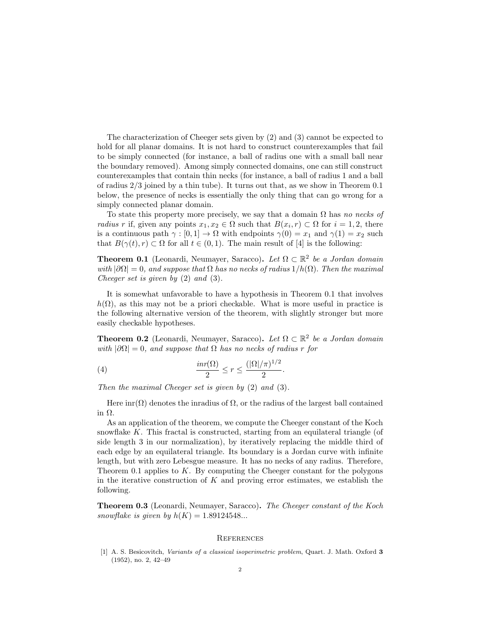The characterization of Cheeger sets given by (2) and (3) cannot be expected to hold for all planar domains. It is not hard to construct counterexamples that fail to be simply connected (for instance, a ball of radius one with a small ball near the boundary removed). Among simply connected domains, one can still construct counterexamples that contain thin necks (for instance, a ball of radius 1 and a ball of radius 2/3 joined by a thin tube). It turns out that, as we show in Theorem 0.1 below, the presence of necks is essentially the only thing that can go wrong for a simply connected planar domain.

To state this property more precisely, we say that a domain  $\Omega$  has no necks of radius r if, given any points  $x_1, x_2 \in \Omega$  such that  $B(x_i, r) \subset \Omega$  for  $i = 1, 2$ , there is a continuous path  $\gamma : [0, 1] \to \Omega$  with endpoints  $\gamma(0) = x_1$  and  $\gamma(1) = x_2$  such that  $B(\gamma(t), r) \subset \Omega$  for all  $t \in (0, 1)$ . The main result of [4] is the following:

**Theorem 0.1** (Leonardi, Neumayer, Saracco). Let  $\Omega \subset \mathbb{R}^2$  be a Jordan domain with  $|\partial\Omega|=0$ , and suppose that  $\Omega$  has no necks of radius  $1/h(\Omega)$ . Then the maximal Cheeger set is given by (2) and (3).

It is somewhat unfavorable to have a hypothesis in Theorem 0.1 that involves  $h(\Omega)$ , as this may not be a priori checkable. What is more useful in practice is the following alternative version of the theorem, with slightly stronger but more easily checkable hypotheses.

**Theorem 0.2** (Leonardi, Neumayer, Saracco). Let  $\Omega \subset \mathbb{R}^2$  be a Jordan domain with  $|\partial\Omega|=0$ , and suppose that  $\Omega$  has no necks of radius r for

(4) 
$$
\frac{inr(\Omega)}{2} \le r \le \frac{(|\Omega|/\pi)^{1/2}}{2}.
$$

Then the maximal Cheeger set is given by (2) and (3).

Here  $\text{im}(\Omega)$  denotes the inradius of  $\Omega$ , or the radius of the largest ball contained in Ω.

As an application of the theorem, we compute the Cheeger constant of the Koch snowflake  $K$ . This fractal is constructed, starting from an equilateral triangle (of side length 3 in our normalization), by iteratively replacing the middle third of each edge by an equilateral triangle. Its boundary is a Jordan curve with infinite length, but with zero Lebesgue measure. It has no necks of any radius. Therefore, Theorem 0.1 applies to  $K$ . By computing the Cheeger constant for the polygons in the iterative construction of  $K$  and proving error estimates, we establish the following.

Theorem 0.3 (Leonardi, Neumayer, Saracco). The Cheeger constant of the Koch snowflake is given by  $h(K) = 1.89124548...$ 

## **REFERENCES**

[1] A. S. Besicovitch, Variants of a classical isoperimetric problem, Quart. J. Math. Oxford 3 (1952), no. 2, 42–49